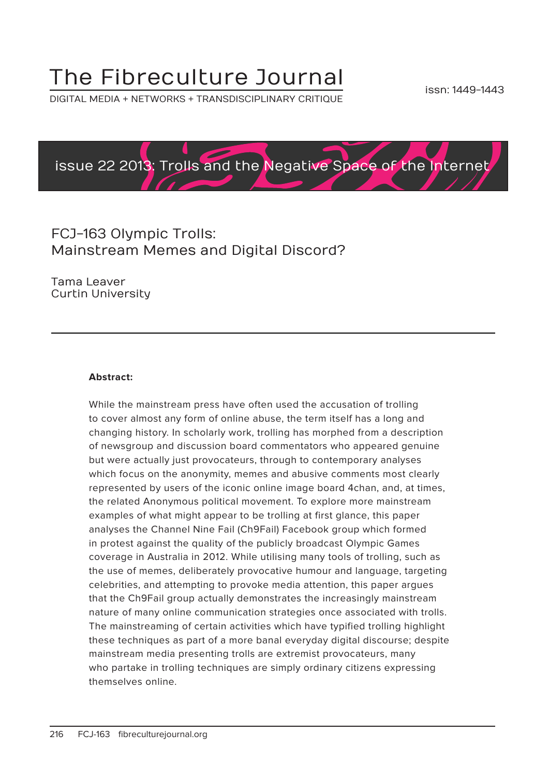# The Fibreculture Journal

DIGITAL MEDIA + NETWORKS + TRANSDISCIPLINARY CRITIQUE



# FCJ-163 Olympic Trolls: Mainstream Memes and Digital Discord?

Tama Leaver Curtin University

#### **Abstract:**

While the mainstream press have often used the accusation of trolling to cover almost any form of online abuse, the term itself has a long and changing history. In scholarly work, trolling has morphed from a description of newsgroup and discussion board commentators who appeared genuine but were actually just provocateurs, through to contemporary analyses which focus on the anonymity, memes and abusive comments most clearly represented by users of the iconic online image board 4chan, and, at times, the related Anonymous political movement. To explore more mainstream examples of what might appear to be trolling at first glance, this paper analyses the Channel Nine Fail (Ch9Fail) Facebook group which formed in protest against the quality of the publicly broadcast Olympic Games coverage in Australia in 2012. While utilising many tools of trolling, such as the use of memes, deliberately provocative humour and language, targeting celebrities, and attempting to provoke media attention, this paper argues that the Ch9Fail group actually demonstrates the increasingly mainstream nature of many online communication strategies once associated with trolls. The mainstreaming of certain activities which have typified trolling highlight these techniques as part of a more banal everyday digital discourse; despite mainstream media presenting trolls are extremist provocateurs, many who partake in trolling techniques are simply ordinary citizens expressing themselves online.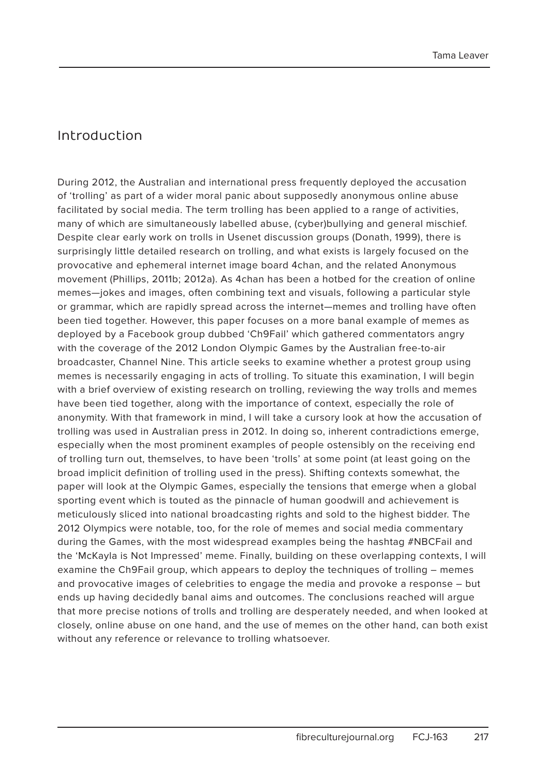#### Introduction

During 2012, the Australian and international press frequently deployed the accusation of 'trolling' as part of a wider moral panic about supposedly anonymous online abuse facilitated by social media. The term trolling has been applied to a range of activities, many of which are simultaneously labelled abuse, (cyber)bullying and general mischief. Despite clear early work on trolls in Usenet discussion groups (Donath, 1999), there is surprisingly little detailed research on trolling, and what exists is largely focused on the provocative and ephemeral internet image board 4chan, and the related Anonymous movement (Phillips, 2011b; 2012a). As 4chan has been a hotbed for the creation of online memes—jokes and images, often combining text and visuals, following a particular style or grammar, which are rapidly spread across the internet—memes and trolling have often been tied together. However, this paper focuses on a more banal example of memes as deployed by a Facebook group dubbed 'Ch9Fail' which gathered commentators angry with the coverage of the 2012 London Olympic Games by the Australian free-to-air broadcaster, Channel Nine. This article seeks to examine whether a protest group using memes is necessarily engaging in acts of trolling. To situate this examination, I will begin with a brief overview of existing research on trolling, reviewing the way trolls and memes have been tied together, along with the importance of context, especially the role of anonymity. With that framework in mind, I will take a cursory look at how the accusation of trolling was used in Australian press in 2012. In doing so, inherent contradictions emerge, especially when the most prominent examples of people ostensibly on the receiving end of trolling turn out, themselves, to have been 'trolls' at some point (at least going on the broad implicit definition of trolling used in the press). Shifting contexts somewhat, the paper will look at the Olympic Games, especially the tensions that emerge when a global sporting event which is touted as the pinnacle of human goodwill and achievement is meticulously sliced into national broadcasting rights and sold to the highest bidder. The 2012 Olympics were notable, too, for the role of memes and social media commentary during the Games, with the most widespread examples being the hashtag #NBCFail and the 'McKayla is Not Impressed' meme. Finally, building on these overlapping contexts, I will examine the Ch9Fail group, which appears to deploy the techniques of trolling – memes and provocative images of celebrities to engage the media and provoke a response – but ends up having decidedly banal aims and outcomes. The conclusions reached will argue that more precise notions of trolls and trolling are desperately needed, and when looked at closely, online abuse on one hand, and the use of memes on the other hand, can both exist without any reference or relevance to trolling whatsoever.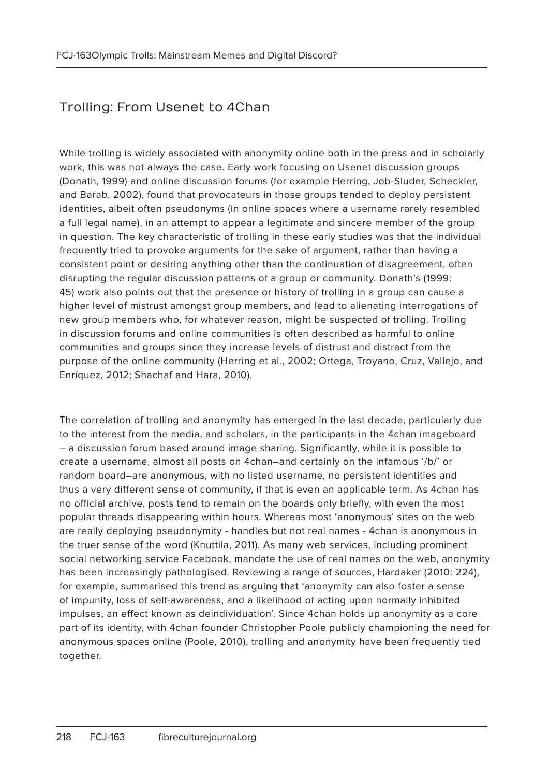# Trolling: From Usenet to 4Chan

While trolling is widely associated with anonymity online both in the press and in scholarly work, this was not always the case. Early work focusing on Usenet discussion groups (Donath, 1999) and online discussion forums (for example Herring, Job-Sluder, Scheckler, and Barab, 2002), found that provocateurs in those groups tended to deploy persistent identities, albeit often pseudonyms (in online spaces where a username rarely resembled a full legal name), in an attempt to appear a legitimate and sincere member of the group in question. The key characteristic of trolling in these early studies was that the individual frequently tried to provoke arguments for the sake of argument, rather than having a consistent point or desiring anything other than the continuation of disagreement, often disrupting the regular discussion patterns of a group or community. Donath's (1999: 45) work also points out that the presence or history of trolling in a group can cause a higher level of mistrust amongst group members, and lead to alienating interrogations of new group members who, for whatever reason, might be suspected of trolling. Trolling in discussion forums and online communities is often described as harmful to online communities and groups since they increase levels of distrust and distract from the purpose of the online community (Herring et al., 2002; Ortega, Troyano, Cruz, Vallejo, and Enríquez, 2012; Shachaf and Hara, 2010).

The correlation of trolling and anonymity has emerged in the last decade, particularly due to the interest from the media, and scholars, in the participants in the 4chan imageboard – a discussion forum based around image sharing. Significantly, while it is possible to create a username, almost all posts on 4chan–and certainly on the infamous '/b/' or random board–are anonymous, with no listed username, no persistent identities and thus a very different sense of community, if that is even an applicable term. As 4chan has no official archive, posts tend to remain on the boards only briefly, with even the most popular threads disappearing within hours. Whereas most 'anonymous' sites on the web are really deploying pseudonymity - handles but not real names - 4chan is anonymous in the truer sense of the word (Knuttila, 2011). As many web services, including prominent social networking service Facebook, mandate the use of real names on the web, anonymity has been increasingly pathologised. Reviewing a range of sources, Hardaker (2010: 224), for example, summarised this trend as arguing that 'anonymity can also foster a sense of impunity, loss of self-awareness, and a likelihood of acting upon normally inhibited impulses, an effect known as deindividuation'. Since 4chan holds up anonymity as a core part of its identity, with 4chan founder Christopher Poole publicly championing the need for anonymous spaces online (Poole, 2010), trolling and anonymity have been frequently tied together.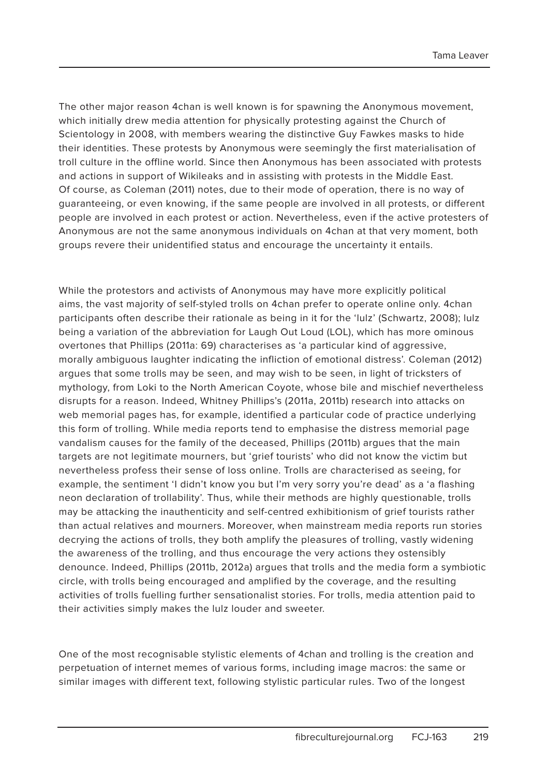The other major reason 4chan is well known is for spawning the Anonymous movement, which initially drew media attention for physically protesting against the Church of Scientology in 2008, with members wearing the distinctive Guy Fawkes masks to hide their identities. These protests by Anonymous were seemingly the first materialisation of troll culture in the offline world. Since then Anonymous has been associated with protests and actions in support of Wikileaks and in assisting with protests in the Middle East. Of course, as Coleman (2011) notes, due to their mode of operation, there is no way of guaranteeing, or even knowing, if the same people are involved in all protests, or different people are involved in each protest or action. Nevertheless, even if the active protesters of Anonymous are not the same anonymous individuals on 4chan at that very moment, both groups revere their unidentified status and encourage the uncertainty it entails.

While the protestors and activists of Anonymous may have more explicitly political aims, the vast majority of self-styled trolls on 4chan prefer to operate online only. 4chan participants often describe their rationale as being in it for the 'lulz' (Schwartz, 2008); lulz being a variation of the abbreviation for Laugh Out Loud (LOL), which has more ominous overtones that Phillips (2011a: 69) characterises as 'a particular kind of aggressive, morally ambiguous laughter indicating the infliction of emotional distress'. Coleman (2012) argues that some trolls may be seen, and may wish to be seen, in light of tricksters of mythology, from Loki to the North American Coyote, whose bile and mischief nevertheless disrupts for a reason. Indeed, Whitney Phillips's (2011a, 2011b) research into attacks on web memorial pages has, for example, identified a particular code of practice underlying this form of trolling. While media reports tend to emphasise the distress memorial page vandalism causes for the family of the deceased, Phillips (2011b) argues that the main targets are not legitimate mourners, but 'grief tourists' who did not know the victim but nevertheless profess their sense of loss online. Trolls are characterised as seeing, for example, the sentiment 'I didn't know you but I'm very sorry you're dead' as a 'a flashing neon declaration of trollability'. Thus, while their methods are highly questionable, trolls may be attacking the inauthenticity and self-centred exhibitionism of grief tourists rather than actual relatives and mourners. Moreover, when mainstream media reports run stories decrying the actions of trolls, they both amplify the pleasures of trolling, vastly widening the awareness of the trolling, and thus encourage the very actions they ostensibly denounce. Indeed, Phillips (2011b, 2012a) argues that trolls and the media form a symbiotic circle, with trolls being encouraged and amplified by the coverage, and the resulting activities of trolls fuelling further sensationalist stories. For trolls, media attention paid to their activities simply makes the lulz louder and sweeter.

One of the most recognisable stylistic elements of 4chan and trolling is the creation and perpetuation of internet memes of various forms, including image macros: the same or similar images with different text, following stylistic particular rules. Two of the longest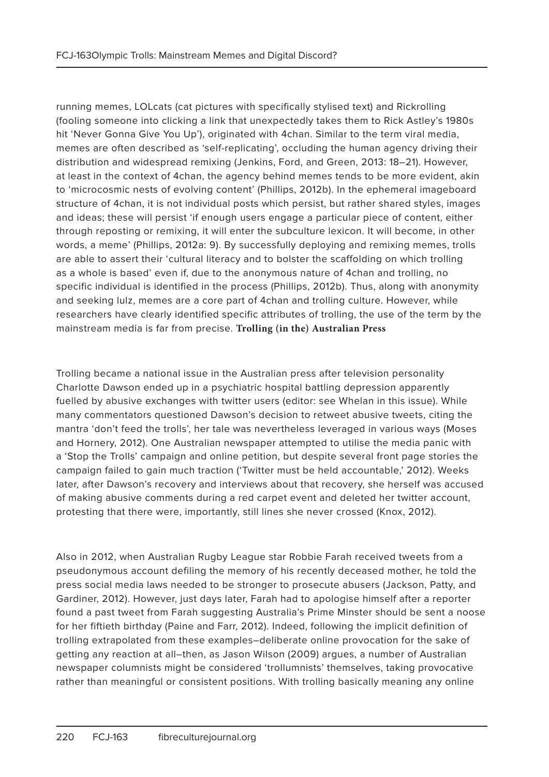running memes, LOLcats (cat pictures with specifically stylised text) and Rickrolling (fooling someone into clicking a link that unexpectedly takes them to Rick Astley's 1980s hit 'Never Gonna Give You Up'), originated with 4chan. Similar to the term viral media, memes are often described as 'self-replicating', occluding the human agency driving their distribution and widespread remixing (Jenkins, Ford, and Green, 2013: 18–21). However, at least in the context of 4chan, the agency behind memes tends to be more evident, akin to 'microcosmic nests of evolving content' (Phillips, 2012b). In the ephemeral imageboard structure of 4chan, it is not individual posts which persist, but rather shared styles, images and ideas; these will persist 'if enough users engage a particular piece of content, either through reposting or remixing, it will enter the subculture lexicon. It will become, in other words, a meme' (Phillips, 2012a: 9). By successfully deploying and remixing memes, trolls are able to assert their 'cultural literacy and to bolster the scaffolding on which trolling as a whole is based' even if, due to the anonymous nature of 4chan and trolling, no specific individual is identified in the process (Phillips, 2012b). Thus, along with anonymity and seeking lulz, memes are a core part of 4chan and trolling culture. However, while researchers have clearly identified specific attributes of trolling, the use of the term by the mainstream media is far from precise. **Trolling (in the) Australian Press**

Trolling became a national issue in the Australian press after television personality Charlotte Dawson ended up in a psychiatric hospital battling depression apparently fuelled by abusive exchanges with twitter users (editor: see Whelan in this issue). While many commentators questioned Dawson's decision to retweet abusive tweets, citing the mantra 'don't feed the trolls', her tale was nevertheless leveraged in various ways (Moses and Hornery, 2012). One Australian newspaper attempted to utilise the media panic with a 'Stop the Trolls' campaign and online petition, but despite several front page stories the campaign failed to gain much traction ('Twitter must be held accountable,' 2012). Weeks later, after Dawson's recovery and interviews about that recovery, she herself was accused of making abusive comments during a red carpet event and deleted her twitter account, protesting that there were, importantly, still lines she never crossed (Knox, 2012).

Also in 2012, when Australian Rugby League star Robbie Farah received tweets from a pseudonymous account defiling the memory of his recently deceased mother, he told the press social media laws needed to be stronger to prosecute abusers (Jackson, Patty, and Gardiner, 2012). However, just days later, Farah had to apologise himself after a reporter found a past tweet from Farah suggesting Australia's Prime Minster should be sent a noose for her fiftieth birthday (Paine and Farr, 2012). Indeed, following the implicit definition of trolling extrapolated from these examples–deliberate online provocation for the sake of getting any reaction at all–then, as Jason Wilson (2009) argues, a number of Australian newspaper columnists might be considered 'trollumnists' themselves, taking provocative rather than meaningful or consistent positions. With trolling basically meaning any online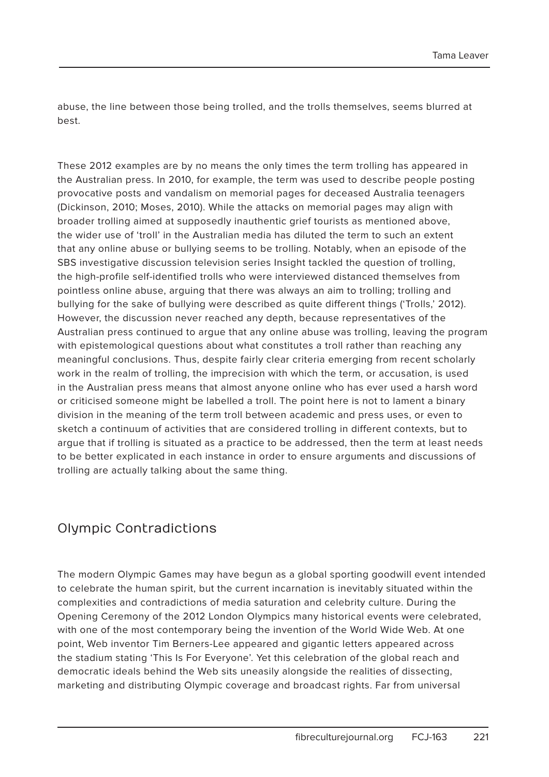abuse, the line between those being trolled, and the trolls themselves, seems blurred at best.

These 2012 examples are by no means the only times the term trolling has appeared in the Australian press. In 2010, for example, the term was used to describe people posting provocative posts and vandalism on memorial pages for deceased Australia teenagers (Dickinson, 2010; Moses, 2010). While the attacks on memorial pages may align with broader trolling aimed at supposedly inauthentic grief tourists as mentioned above, the wider use of 'troll' in the Australian media has diluted the term to such an extent that any online abuse or bullying seems to be trolling. Notably, when an episode of the SBS investigative discussion television series Insight tackled the question of trolling, the high-profile self-identified trolls who were interviewed distanced themselves from pointless online abuse, arguing that there was always an aim to trolling; trolling and bullying for the sake of bullying were described as quite different things ('Trolls,' 2012). However, the discussion never reached any depth, because representatives of the Australian press continued to argue that any online abuse was trolling, leaving the program with epistemological questions about what constitutes a troll rather than reaching any meaningful conclusions. Thus, despite fairly clear criteria emerging from recent scholarly work in the realm of trolling, the imprecision with which the term, or accusation, is used in the Australian press means that almost anyone online who has ever used a harsh word or criticised someone might be labelled a troll. The point here is not to lament a binary division in the meaning of the term troll between academic and press uses, or even to sketch a continuum of activities that are considered trolling in different contexts, but to argue that if trolling is situated as a practice to be addressed, then the term at least needs to be better explicated in each instance in order to ensure arguments and discussions of trolling are actually talking about the same thing.

### Olympic Contradictions

The modern Olympic Games may have begun as a global sporting goodwill event intended to celebrate the human spirit, but the current incarnation is inevitably situated within the complexities and contradictions of media saturation and celebrity culture. During the Opening Ceremony of the 2012 London Olympics many historical events were celebrated, with one of the most contemporary being the invention of the World Wide Web. At one point, Web inventor Tim Berners-Lee appeared and gigantic letters appeared across the stadium stating 'This Is For Everyone'. Yet this celebration of the global reach and democratic ideals behind the Web sits uneasily alongside the realities of dissecting, marketing and distributing Olympic coverage and broadcast rights. Far from universal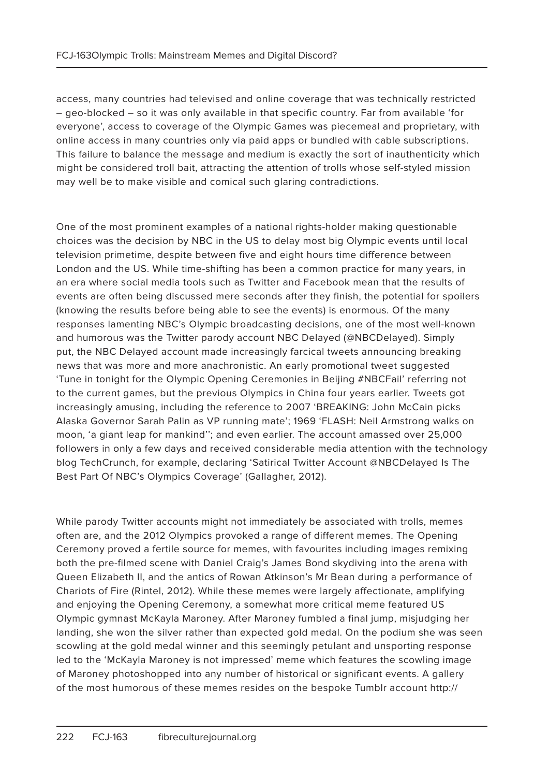access, many countries had televised and online coverage that was technically restricted – geo-blocked – so it was only available in that specific country. Far from available 'for everyone', access to coverage of the Olympic Games was piecemeal and proprietary, with online access in many countries only via paid apps or bundled with cable subscriptions. This failure to balance the message and medium is exactly the sort of inauthenticity which might be considered troll bait, attracting the attention of trolls whose self-styled mission may well be to make visible and comical such glaring contradictions.

One of the most prominent examples of a national rights-holder making questionable choices was the decision by NBC in the US to delay most big Olympic events until local television primetime, despite between five and eight hours time difference between London and the US. While time-shifting has been a common practice for many years, in an era where social media tools such as Twitter and Facebook mean that the results of events are often being discussed mere seconds after they finish, the potential for spoilers (knowing the results before being able to see the events) is enormous. Of the many responses lamenting NBC's Olympic broadcasting decisions, one of the most well-known and humorous was the Twitter parody account NBC Delayed (@NBCDelayed). Simply put, the NBC Delayed account made increasingly farcical tweets announcing breaking news that was more and more anachronistic. An early promotional tweet suggested 'Tune in tonight for the Olympic Opening Ceremonies in Beijing #NBCFail' referring not to the current games, but the previous Olympics in China four years earlier. Tweets got increasingly amusing, including the reference to 2007 'BREAKING: John McCain picks Alaska Governor Sarah Palin as VP running mate'; 1969 'FLASH: Neil Armstrong walks on moon, 'a giant leap for mankind''; and even earlier. The account amassed over 25,000 followers in only a few days and received considerable media attention with the technology blog TechCrunch, for example, declaring 'Satirical Twitter Account @NBCDelayed Is The Best Part Of NBC's Olympics Coverage' (Gallagher, 2012).

While parody Twitter accounts might not immediately be associated with trolls, memes often are, and the 2012 Olympics provoked a range of different memes. The Opening Ceremony proved a fertile source for memes, with favourites including images remixing both the pre-filmed scene with Daniel Craig's James Bond skydiving into the arena with Queen Elizabeth II, and the antics of Rowan Atkinson's Mr Bean during a performance of Chariots of Fire (Rintel, 2012). While these memes were largely affectionate, amplifying and enjoying the Opening Ceremony, a somewhat more critical meme featured US Olympic gymnast McKayla Maroney. After Maroney fumbled a final jump, misjudging her landing, she won the silver rather than expected gold medal. On the podium she was seen scowling at the gold medal winner and this seemingly petulant and unsporting response led to the 'McKayla Maroney is not impressed' meme which features the scowling image of Maroney photoshopped into any number of historical or significant events. A gallery of the most humorous of these memes resides on the bespoke Tumblr account http://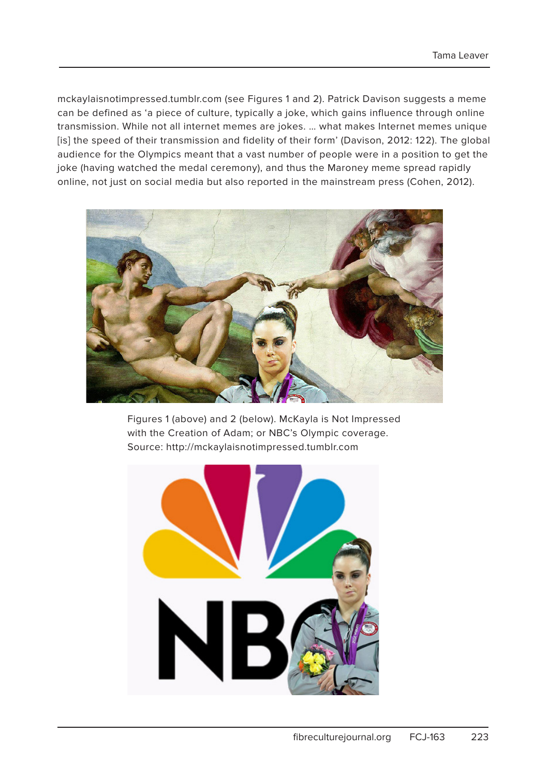mckaylaisnotimpressed.tumblr.com (see Figures 1 and 2). Patrick Davison suggests a meme can be defined as 'a piece of culture, typically a joke, which gains influence through online transmission. While not all internet memes are jokes. … what makes Internet memes unique [is] the speed of their transmission and fidelity of their form' (Davison, 2012: 122). The global audience for the Olympics meant that a vast number of people were in a position to get the joke (having watched the medal ceremony), and thus the Maroney meme spread rapidly online, not just on social media but also reported in the mainstream press (Cohen, 2012).



Figures 1 (above) and 2 (below). McKayla is Not Impressed with the Creation of Adam; or NBC's Olympic coverage. Source: http://mckaylaisnotimpressed.tumblr.com

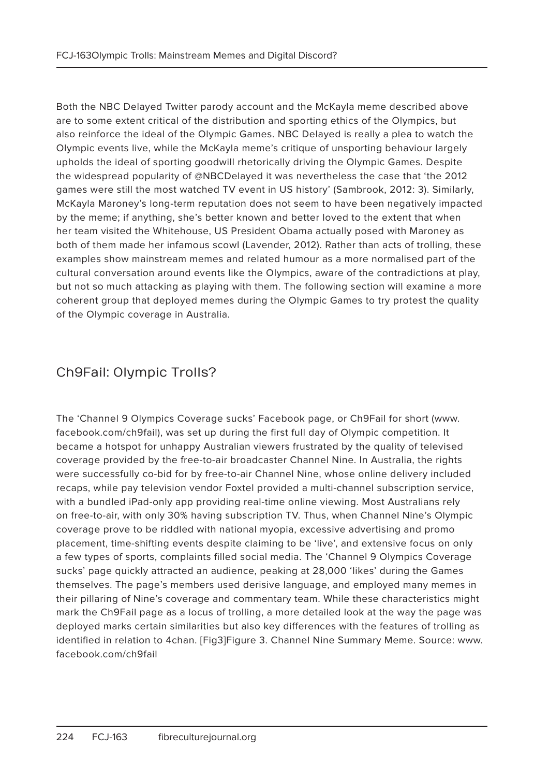Both the NBC Delayed Twitter parody account and the McKayla meme described above are to some extent critical of the distribution and sporting ethics of the Olympics, but also reinforce the ideal of the Olympic Games. NBC Delayed is really a plea to watch the Olympic events live, while the McKayla meme's critique of unsporting behaviour largely upholds the ideal of sporting goodwill rhetorically driving the Olympic Games. Despite the widespread popularity of @NBCDelayed it was nevertheless the case that 'the 2012 games were still the most watched TV event in US history' (Sambrook, 2012: 3). Similarly, McKayla Maroney's long-term reputation does not seem to have been negatively impacted by the meme; if anything, she's better known and better loved to the extent that when her team visited the Whitehouse, US President Obama actually posed with Maroney as both of them made her infamous scowl (Lavender, 2012). Rather than acts of trolling, these examples show mainstream memes and related humour as a more normalised part of the cultural conversation around events like the Olympics, aware of the contradictions at play, but not so much attacking as playing with them. The following section will examine a more coherent group that deployed memes during the Olympic Games to try protest the quality of the Olympic coverage in Australia.

# Ch9Fail: Olympic Trolls?

The 'Channel 9 Olympics Coverage sucks' Facebook page, or Ch9Fail for short (www. facebook.com/ch9fail), was set up during the first full day of Olympic competition. It became a hotspot for unhappy Australian viewers frustrated by the quality of televised coverage provided by the free-to-air broadcaster Channel Nine. In Australia, the rights were successfully co-bid for by free-to-air Channel Nine, whose online delivery included recaps, while pay television vendor Foxtel provided a multi-channel subscription service, with a bundled iPad-only app providing real-time online viewing. Most Australians rely on free-to-air, with only 30% having subscription TV. Thus, when Channel Nine's Olympic coverage prove to be riddled with national myopia, excessive advertising and promo placement, time-shifting events despite claiming to be 'live', and extensive focus on only a few types of sports, complaints filled social media. The 'Channel 9 Olympics Coverage sucks' page quickly attracted an audience, peaking at 28,000 'likes' during the Games themselves. The page's members used derisive language, and employed many memes in their pillaring of Nine's coverage and commentary team. While these characteristics might mark the Ch9Fail page as a locus of trolling, a more detailed look at the way the page was deployed marks certain similarities but also key differences with the features of trolling as identified in relation to 4chan. [Fig3]Figure 3. Channel Nine Summary Meme. Source: www. facebook.com/ch9fail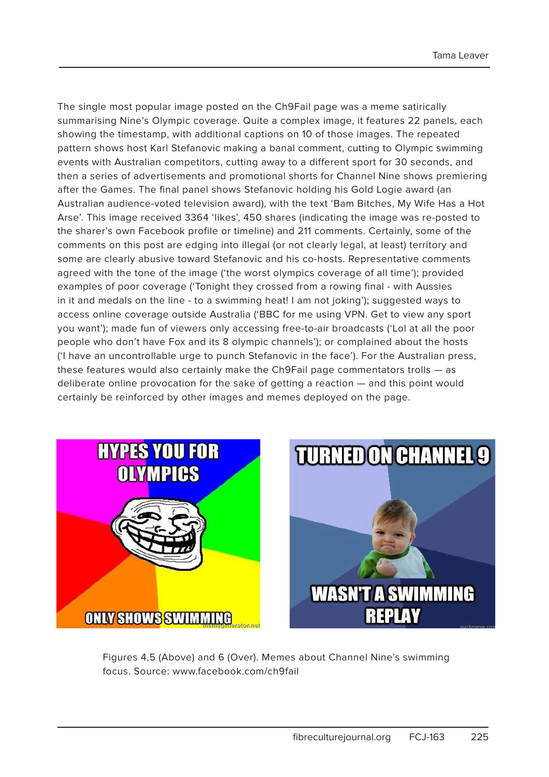The single most popular image posted on the Ch9Fail page was a meme satirically summarising Nine's Olympic coverage. Quite a complex image, it features 22 panels, each showing the timestamp, with additional captions on 10 of those images. The repeated pattern shows host Karl Stefanovic making a banal comment, cutting to Olympic swimming events with Australian competitors, cutting away to a different sport for 30 seconds, and then a series of advertisements and promotional shorts for Channel Nine shows premiering after the Games. The final panel shows Stefanovic holding his Gold Logie award (an Australian audience-voted television award), with the text 'Bam Bitches, My Wife Has a Hot Arse'. This image received 3364 'likes', 450 shares (indicating the image was re-posted to the sharer's own Facebook profile or timeline) and 211 comments. Certainly, some of the comments on this post are edging into illegal (or not clearly legal, at least) territory and some are clearly abusive toward Stefanovic and his co-hosts. Representative comments agreed with the tone of the image ('the worst olympics coverage of all time'); provided examples of poor coverage ('Tonight they crossed from a rowing final - with Aussies in it and medals on the line - to a swimming heat! I am not joking'); suggested ways to access online coverage outside Australia ('BBC for me using VPN. Get to view any sport you want'); made fun of viewers only accessing free-to-air broadcasts ('Lol at all the poor people who don't have Fox and its 8 olympic channels'); or complained about the hosts ('I have an uncontrollable urge to punch Stefanovic in the face'). For the Australian press, these features would also certainly make the Ch9Fail page commentators trolls — as deliberate online provocation for the sake of getting a reaction — and this point would certainly be reinforced by other images and memes deployed on the page.





Figures 4,5 (Above) and 6 (Over). Memes about Channel Nine's swimming focus. Source: www.facebook.com/ch9fail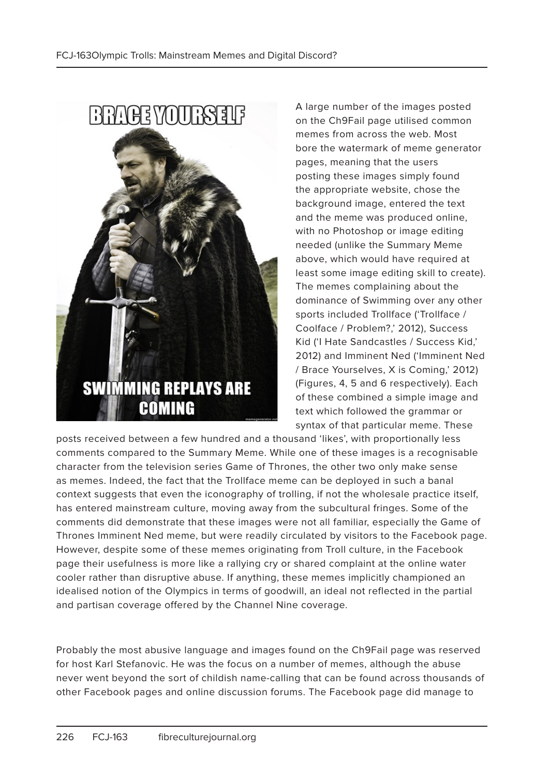

A large number of the images posted on the Ch9Fail page utilised common memes from across the web. Most bore the watermark of meme generator pages, meaning that the users posting these images simply found the appropriate website, chose the background image, entered the text and the meme was produced online, with no Photoshop or image editing needed (unlike the Summary Meme above, which would have required at least some image editing skill to create). The memes complaining about the dominance of Swimming over any other sports included Trollface ('Trollface / Coolface / Problem?,' 2012), Success Kid ('I Hate Sandcastles / Success Kid,' 2012) and Imminent Ned ('Imminent Ned / Brace Yourselves, X is Coming,' 2012) (Figures, 4, 5 and 6 respectively). Each of these combined a simple image and text which followed the grammar or syntax of that particular meme. These

posts received between a few hundred and a thousand 'likes', with proportionally less comments compared to the Summary Meme. While one of these images is a recognisable character from the television series Game of Thrones, the other two only make sense as memes. Indeed, the fact that the Trollface meme can be deployed in such a banal context suggests that even the iconography of trolling, if not the wholesale practice itself. has entered mainstream culture, moving away from the subcultural fringes. Some of the comments did demonstrate that these images were not all familiar, especially the Game of Thrones Imminent Ned meme, but were readily circulated by visitors to the Facebook page. However, despite some of these memes originating from Troll culture, in the Facebook page their usefulness is more like a rallying cry or shared complaint at the online water cooler rather than disruptive abuse. If anything, these memes implicitly championed an idealised notion of the Olympics in terms of goodwill, an ideal not reflected in the partial and partisan coverage offered by the Channel Nine coverage.

Probably the most abusive language and images found on the Ch9Fail page was reserved for host Karl Stefanovic. He was the focus on a number of memes, although the abuse never went beyond the sort of childish name-calling that can be found across thousands of other Facebook pages and online discussion forums. The Facebook page did manage to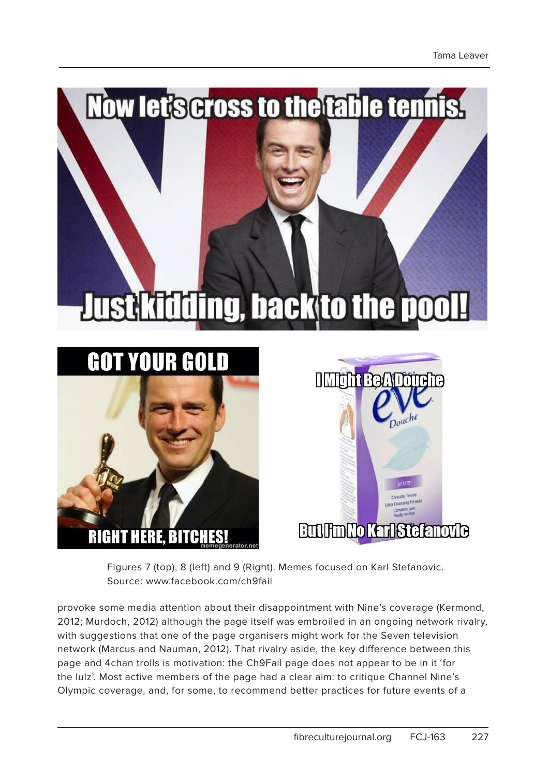

Figures 7 (top), 8 (left) and 9 (Right). Memes focused on Karl Stefanovic. Source: www.facebook.com/ch9fail

provoke some media attention about their disappointment with Nine's coverage (Kermond, 2012; Murdoch, 2012) although the page itself was embroiled in an ongoing network rivalry, with suggestions that one of the page organisers might work for the Seven television network (Marcus and Nauman, 2012). That rivalry aside, the key difference between this page and 4chan trolls is motivation: the Ch9Fail page does not appear to be in it 'for the lulz'. Most active members of the page had a clear aim: to critique Channel Nine's Olympic coverage, and, for some, to recommend better practices for future events of a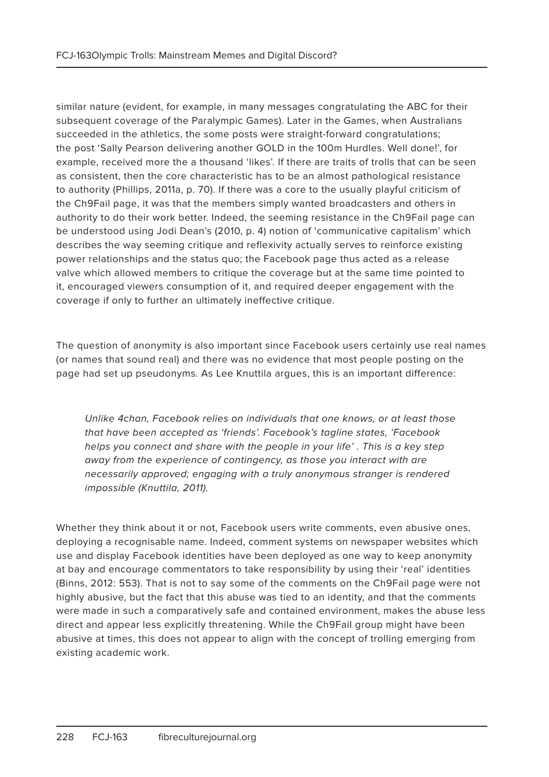similar nature (evident, for example, in many messages congratulating the ABC for their subsequent coverage of the Paralympic Games). Later in the Games, when Australians succeeded in the athletics, the some posts were straight-forward congratulations; the post 'Sally Pearson delivering another GOLD in the 100m Hurdles. Well done!', for example, received more the a thousand 'likes'. If there are traits of trolls that can be seen as consistent, then the core characteristic has to be an almost pathological resistance to authority (Phillips, 2011a, p. 70). If there was a core to the usually playful criticism of the Ch9Fail page, it was that the members simply wanted broadcasters and others in authority to do their work better. Indeed, the seeming resistance in the Ch9Fail page can be understood using Jodi Dean's (2010, p. 4) notion of 'communicative capitalism' which describes the way seeming critique and reflexivity actually serves to reinforce existing power relationships and the status quo; the Facebook page thus acted as a release valve which allowed members to critique the coverage but at the same time pointed to it, encouraged viewers consumption of it, and required deeper engagement with the coverage if only to further an ultimately ineffective critique.

The question of anonymity is also important since Facebook users certainly use real names (or names that sound real) and there was no evidence that most people posting on the page had set up pseudonyms. As Lee Knuttila argues, this is an important difference:

Unlike 4chan, Facebook relies on individuals that one knows, or at least those that have been accepted as 'friends'. Facebook's tagline states, 'Facebook helps you connect and share with the people in your life' . This is a key step away from the experience of contingency, as those you interact with are necessarily approved; engaging with a truly anonymous stranger is rendered impossible (Knuttila, 2011).

Whether they think about it or not, Facebook users write comments, even abusive ones, deploying a recognisable name. Indeed, comment systems on newspaper websites which use and display Facebook identities have been deployed as one way to keep anonymity at bay and encourage commentators to take responsibility by using their 'real' identities (Binns, 2012: 553). That is not to say some of the comments on the Ch9Fail page were not highly abusive, but the fact that this abuse was tied to an identity, and that the comments were made in such a comparatively safe and contained environment, makes the abuse less direct and appear less explicitly threatening. While the Ch9Fail group might have been abusive at times, this does not appear to align with the concept of trolling emerging from existing academic work.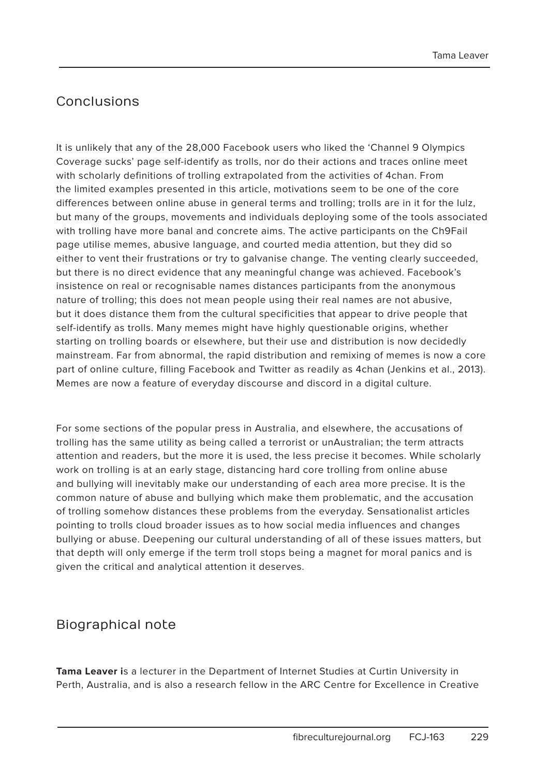## Conclusions

It is unlikely that any of the 28,000 Facebook users who liked the 'Channel 9 Olympics Coverage sucks' page self-identify as trolls, nor do their actions and traces online meet with scholarly definitions of trolling extrapolated from the activities of 4chan. From the limited examples presented in this article, motivations seem to be one of the core differences between online abuse in general terms and trolling; trolls are in it for the lulz, but many of the groups, movements and individuals deploying some of the tools associated with trolling have more banal and concrete aims. The active participants on the Ch9Fail page utilise memes, abusive language, and courted media attention, but they did so either to vent their frustrations or try to galvanise change. The venting clearly succeeded, but there is no direct evidence that any meaningful change was achieved. Facebook's insistence on real or recognisable names distances participants from the anonymous nature of trolling; this does not mean people using their real names are not abusive, but it does distance them from the cultural specificities that appear to drive people that self-identify as trolls. Many memes might have highly questionable origins, whether starting on trolling boards or elsewhere, but their use and distribution is now decidedly mainstream. Far from abnormal, the rapid distribution and remixing of memes is now a core part of online culture, filling Facebook and Twitter as readily as 4chan (Jenkins et al., 2013). Memes are now a feature of everyday discourse and discord in a digital culture.

For some sections of the popular press in Australia, and elsewhere, the accusations of trolling has the same utility as being called a terrorist or unAustralian; the term attracts attention and readers, but the more it is used, the less precise it becomes. While scholarly work on trolling is at an early stage, distancing hard core trolling from online abuse and bullying will inevitably make our understanding of each area more precise. It is the common nature of abuse and bullying which make them problematic, and the accusation of trolling somehow distances these problems from the everyday. Sensationalist articles pointing to trolls cloud broader issues as to how social media influences and changes bullying or abuse. Deepening our cultural understanding of all of these issues matters, but that depth will only emerge if the term troll stops being a magnet for moral panics and is given the critical and analytical attention it deserves.

### Biographical note

**Tama Leaver i**s a lecturer in the Department of Internet Studies at Curtin University in Perth, Australia, and is also a research fellow in the ARC Centre for Excellence in Creative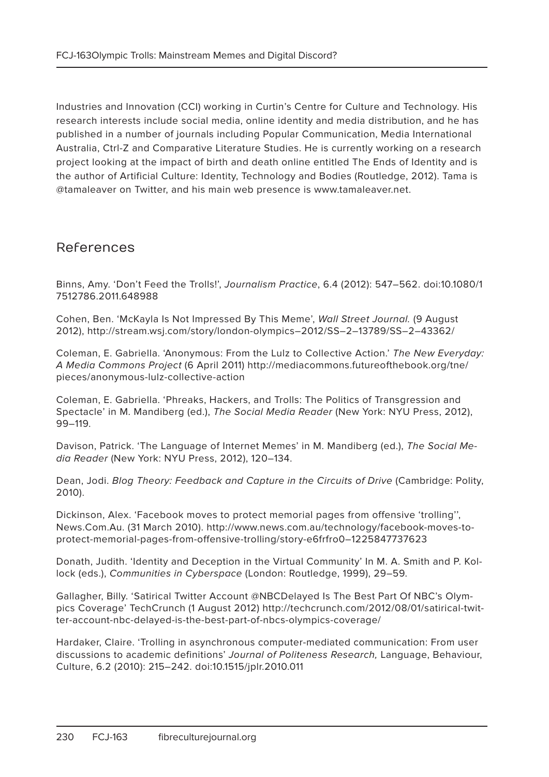Industries and Innovation (CCI) working in Curtin's Centre for Culture and Technology. His research interests include social media, online identity and media distribution, and he has published in a number of journals including Popular Communication, Media International Australia, Ctrl-Z and Comparative Literature Studies. He is currently working on a research project looking at the impact of birth and death online entitled The Ends of Identity and is the author of Artificial Culture: Identity, Technology and Bodies (Routledge, 2012). Tama is @tamaleaver on Twitter, and his main web presence is www.tamaleaver.net.

#### References

Binns, Amy. 'Don't Feed the Trolls!', Journalism Practice, 6.4 (2012): 547–562. doi:10.1080/1 7512786.2011.648988

Cohen, Ben. 'McKayla Is Not Impressed By This Meme', Wall Street Journal. (9 August 2012), http://stream.wsj.com/story/london-olympics–2012/SS–2–13789/SS–2–43362/

Coleman, E. Gabriella. 'Anonymous: From the Lulz to Collective Action.' The New Everyday: A Media Commons Project (6 April 2011) http://mediacommons.futureofthebook.org/tne/ pieces/anonymous-lulz-collective-action

Coleman, E. Gabriella. 'Phreaks, Hackers, and Trolls: The Politics of Transgression and Spectacle' in M. Mandiberg (ed.), The Social Media Reader (New York: NYU Press, 2012), 99–119.

Davison, Patrick. 'The Language of Internet Memes' in M. Mandiberg (ed.), The Social Media Reader (New York: NYU Press, 2012), 120–134.

Dean, Jodi. Blog Theory: Feedback and Capture in the Circuits of Drive (Cambridge: Polity, 2010).

Dickinson, Alex. 'Facebook moves to protect memorial pages from offensive 'trolling'', News.Com.Au. (31 March 2010). http://www.news.com.au/technology/facebook-moves-toprotect-memorial-pages-from-offensive-trolling/story-e6frfro0–1225847737623

Donath, Judith. 'Identity and Deception in the Virtual Community' In M. A. Smith and P. Kollock (eds.), Communities in Cyberspace (London: Routledge, 1999), 29–59.

Gallagher, Billy. 'Satirical Twitter Account @NBCDelayed Is The Best Part Of NBC's Olympics Coverage' TechCrunch (1 August 2012) http://techcrunch.com/2012/08/01/satirical-twitter-account-nbc-delayed-is-the-best-part-of-nbcs-olympics-coverage/

Hardaker, Claire. 'Trolling in asynchronous computer-mediated communication: From user discussions to academic definitions' Journal of Politeness Research, Language, Behaviour, Culture, 6.2 (2010): 215–242. doi:10.1515/jplr.2010.011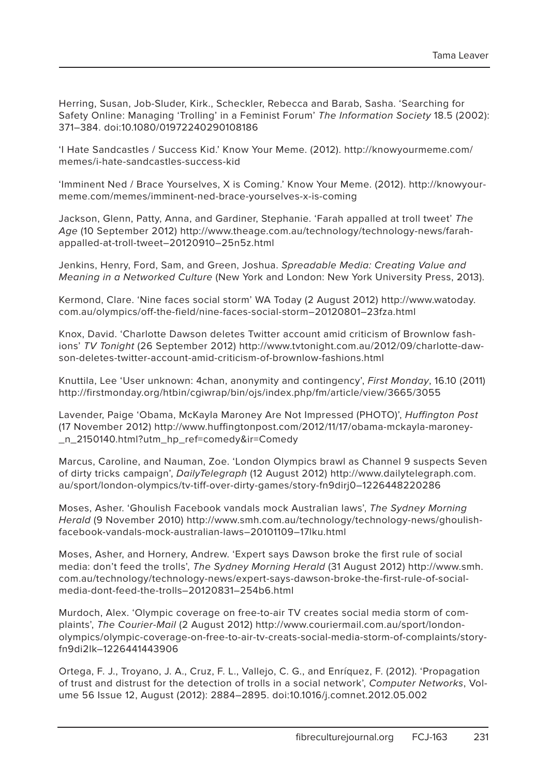Herring, Susan, Job-Sluder, Kirk., Scheckler, Rebecca and Barab, Sasha. 'Searching for Safety Online: Managing 'Trolling' in a Feminist Forum' The Information Society 18.5 (2002): 371–384. doi:10.1080/01972240290108186

'I Hate Sandcastles / Success Kid.' Know Your Meme. (2012). http://knowyourmeme.com/ memes/i-hate-sandcastles-success-kid

'Imminent Ned / Brace Yourselves, X is Coming.' Know Your Meme. (2012). http://knowyourmeme.com/memes/imminent-ned-brace-yourselves-x-is-coming

Jackson, Glenn, Patty, Anna, and Gardiner, Stephanie. 'Farah appalled at troll tweet' The Age (10 September 2012) http://www.theage.com.au/technology/technology-news/farahappalled-at-troll-tweet–20120910–25n5z.html

Jenkins, Henry, Ford, Sam, and Green, Joshua. Spreadable Media: Creating Value and Meaning in a Networked Culture (New York and London: New York University Press, 2013).

Kermond, Clare. 'Nine faces social storm' WA Today (2 August 2012) http://www.watoday. com.au/olympics/off-the-field/nine-faces-social-storm–20120801–23fza.html

Knox, David. 'Charlotte Dawson deletes Twitter account amid criticism of Brownlow fashions' TV Tonight (26 September 2012) http://www.tvtonight.com.au/2012/09/charlotte-dawson-deletes-twitter-account-amid-criticism-of-brownlow-fashions.html

Knuttila, Lee 'User unknown: 4chan, anonymity and contingency', First Monday, 16.10 (2011) http://firstmonday.org/htbin/cgiwrap/bin/ojs/index.php/fm/article/view/3665/3055

Lavender, Paige 'Obama, McKayla Maroney Are Not Impressed (PHOTO)', Huffington Post (17 November 2012) http://www.huffingtonpost.com/2012/11/17/obama-mckayla-maroney- \_n\_2150140.html?utm\_hp\_ref=comedy&ir=Comedy

Marcus, Caroline, and Nauman, Zoe. 'London Olympics brawl as Channel 9 suspects Seven of dirty tricks campaign', DailyTelegraph (12 August 2012) http://www.dailytelegraph.com. au/sport/london-olympics/tv-tiff-over-dirty-games/story-fn9dirj0–1226448220286

Moses, Asher. 'Ghoulish Facebook vandals mock Australian laws', The Sydney Morning Herald (9 November 2010) http://www.smh.com.au/technology/technology-news/ghoulishfacebook-vandals-mock-australian-laws–20101109–17lku.html

Moses, Asher, and Hornery, Andrew. 'Expert says Dawson broke the first rule of social media: don't feed the trolls', The Sydney Morning Herald (31 August 2012) http://www.smh. com.au/technology/technology-news/expert-says-dawson-broke-the-first-rule-of-socialmedia-dont-feed-the-trolls–20120831–254b6.html

Murdoch, Alex. 'Olympic coverage on free-to-air TV creates social media storm of complaints', The Courier-Mail (2 August 2012) http://www.couriermail.com.au/sport/londonolympics/olympic-coverage-on-free-to-air-tv-creats-social-media-storm-of-complaints/storyfn9di2lk–1226441443906

Ortega, F. J., Troyano, J. A., Cruz, F. L., Vallejo, C. G., and Enríquez, F. (2012). 'Propagation of trust and distrust for the detection of trolls in a social network', Computer Networks, Volume 56 Issue 12, August (2012): 2884–2895. doi:10.1016/j.comnet.2012.05.002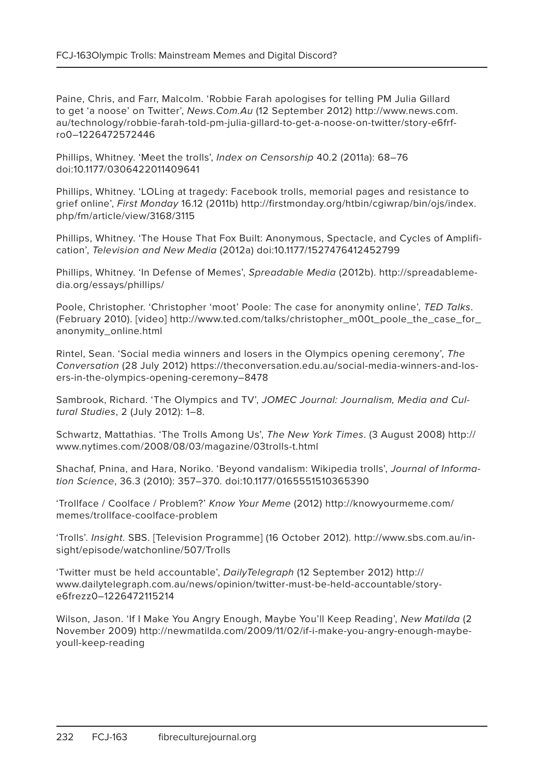Paine, Chris, and Farr, Malcolm. 'Robbie Farah apologises for telling PM Julia Gillard to get 'a noose' on Twitter', News.Com.Au (12 September 2012) http://www.news.com. au/technology/robbie-farah-told-pm-julia-gillard-to-get-a-noose-on-twitter/story-e6frfro0–1226472572446

Phillips, Whitney. 'Meet the trolls', Index on Censorship 40.2 (2011a): 68–76 doi:10.1177/0306422011409641

Phillips, Whitney. 'LOLing at tragedy: Facebook trolls, memorial pages and resistance to grief online', First Monday 16.12 (2011b) http://firstmonday.org/htbin/cgiwrap/bin/ojs/index. php/fm/article/view/3168/3115

Phillips, Whitney. 'The House That Fox Built: Anonymous, Spectacle, and Cycles of Amplification', Television and New Media (2012a) doi:10.1177/1527476412452799

Phillips, Whitney. 'In Defense of Memes', Spreadable Media (2012b). http://spreadablemedia.org/essays/phillips/

Poole, Christopher. 'Christopher 'moot' Poole: The case for anonymity online', TED Talks. (February 2010). [video] http://www.ted.com/talks/christopher\_m00t\_poole\_the\_case\_for\_ anonymity\_online.html

Rintel, Sean. 'Social media winners and losers in the Olympics opening ceremony', The Conversation (28 July 2012) https://theconversation.edu.au/social-media-winners-and-losers-in-the-olympics-opening-ceremony–8478

Sambrook, Richard. 'The Olympics and TV', JOMEC Journal: Journalism, Media and Cultural Studies, 2 (July 2012): 1–8.

Schwartz, Mattathias. 'The Trolls Among Us', The New York Times. (3 August 2008) http:// www.nytimes.com/2008/08/03/magazine/03trolls-t.html

Shachaf, Pnina, and Hara, Noriko. 'Beyond vandalism: Wikipedia trolls', Journal of Information Science, 36.3 (2010): 357–370. doi:10.1177/0165551510365390

'Trollface / Coolface / Problem?' Know Your Meme (2012) http://knowyourmeme.com/ memes/trollface-coolface-problem

'Trolls'. Insight. SBS. [Television Programme] (16 October 2012). http://www.sbs.com.au/insight/episode/watchonline/507/Trolls

'Twitter must be held accountable', DailyTelegraph (12 September 2012) http:// www.dailytelegraph.com.au/news/opinion/twitter-must-be-held-accountable/storye6frezz0–1226472115214

Wilson, Jason. 'If I Make You Angry Enough, Maybe You'll Keep Reading', New Matilda (2 November 2009) http://newmatilda.com/2009/11/02/if-i-make-you-angry-enough-maybeyoull-keep-reading